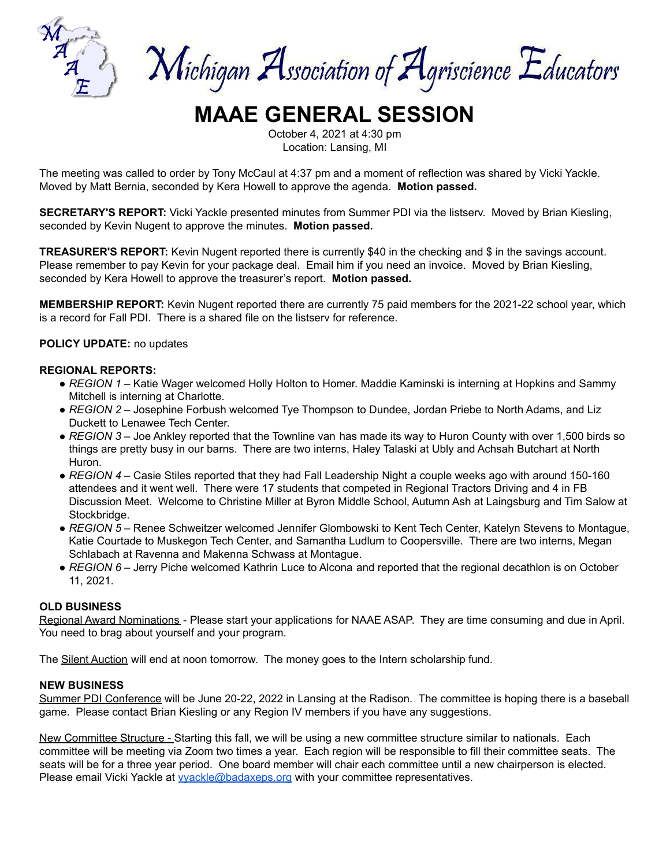

Michigan Association of Agriscience Educators

# **MAAE GENERAL SESSION**

October 4, 2021 at 4:30 pm Location: Lansing, MI

The meeting was called to order by Tony McCaul at 4:37 pm and a moment of reflection was shared by Vicki Yackle. Moved by Matt Bernia, seconded by Kera Howell to approve the agenda. **Motion passed.**

**SECRETARY'S REPORT:** Vicki Yackle presented minutes from Summer PDI via the listserv. Moved by Brian Kiesling, seconded by Kevin Nugent to approve the minutes. **Motion passed.**

**TREASURER'S REPORT:** Kevin Nugent reported there is currently \$40 in the checking and \$ in the savings account. Please remember to pay Kevin for your package deal. Email him if you need an invoice. Moved by Brian Kiesling, seconded by Kera Howell to approve the treasurer's report. **Motion passed.**

**MEMBERSHIP REPORT:** Kevin Nugent reported there are currently 75 paid members for the 2021-22 school year, which is a record for Fall PDI. There is a shared file on the listserv for reference.

#### **POLICY UPDATE:** no updates

#### **REGIONAL REPORTS:**

- *REGION 1* Katie Wager welcomed Holly Holton to Homer. Maddie Kaminski is interning at Hopkins and Sammy Mitchell is interning at Charlotte.
- *REGION 2* Josephine Forbush welcomed Tye Thompson to Dundee, Jordan Priebe to North Adams, and Liz Duckett to Lenawee Tech Center.
- *REGION 3* Joe Ankley reported that the Townline van has made its way to Huron County with over 1,500 birds so things are pretty busy in our barns. There are two interns, Haley Talaski at Ubly and Achsah Butchart at North Huron.
- *REGION 4* Casie Stiles reported that they had Fall Leadership Night a couple weeks ago with around 150-160 attendees and it went well. There were 17 students that competed in Regional Tractors Driving and 4 in FB Discussion Meet. Welcome to Christine Miller at Byron Middle School, Autumn Ash at Laingsburg and Tim Salow at Stockbridge.
- *REGION 5* Renee Schweitzer welcomed Jennifer Glombowski to Kent Tech Center, Katelyn Stevens to Montague, Katie Courtade to Muskegon Tech Center, and Samantha Ludlum to Coopersville. There are two interns, Megan Schlabach at Ravenna and Makenna Schwass at Montague.
- *REGION 6* Jerry Piche welcomed Kathrin Luce to Alcona and reported that the regional decathlon is on October 11, 2021.

#### **OLD BUSINESS**

Regional Award Nominations - Please start your applications for NAAE ASAP. They are time consuming and due in April. You need to brag about yourself and your program.

The Silent Auction will end at noon tomorrow. The money goes to the Intern scholarship fund.

#### **NEW BUSINESS**

Summer PDI Conference will be June 20-22, 2022 in Lansing at the Radison. The committee is hoping there is a baseball game. Please contact Brian Kiesling or any Region IV members if you have any suggestions.

New Committee Structure - Starting this fall, we will be using a new committee structure similar to nationals. Each committee will be meeting via Zoom two times a year. Each region will be responsible to fill their committee seats. The seats will be for a three year period. One board member will chair each committee until a new chairperson is elected. Please email Vicki Yackle at *yvackle@badaxeps.org* with your committee representatives.